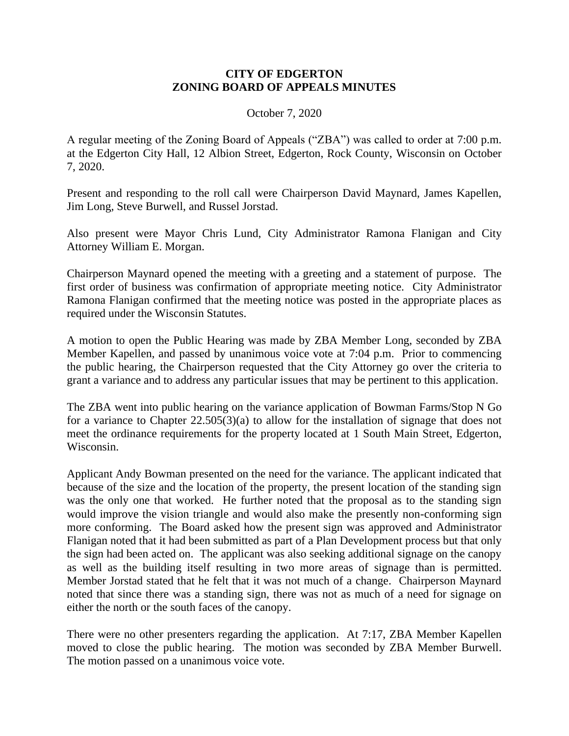## **CITY OF EDGERTON ZONING BOARD OF APPEALS MINUTES**

## October 7, 2020

A regular meeting of the Zoning Board of Appeals ("ZBA") was called to order at 7:00 p.m. at the Edgerton City Hall, 12 Albion Street, Edgerton, Rock County, Wisconsin on October 7, 2020.

Present and responding to the roll call were Chairperson David Maynard, James Kapellen, Jim Long, Steve Burwell, and Russel Jorstad.

Also present were Mayor Chris Lund, City Administrator Ramona Flanigan and City Attorney William E. Morgan.

Chairperson Maynard opened the meeting with a greeting and a statement of purpose. The first order of business was confirmation of appropriate meeting notice. City Administrator Ramona Flanigan confirmed that the meeting notice was posted in the appropriate places as required under the Wisconsin Statutes.

A motion to open the Public Hearing was made by ZBA Member Long, seconded by ZBA Member Kapellen, and passed by unanimous voice vote at 7:04 p.m. Prior to commencing the public hearing, the Chairperson requested that the City Attorney go over the criteria to grant a variance and to address any particular issues that may be pertinent to this application.

The ZBA went into public hearing on the variance application of Bowman Farms/Stop N Go for a variance to Chapter 22.505(3)(a) to allow for the installation of signage that does not meet the ordinance requirements for the property located at 1 South Main Street, Edgerton, Wisconsin.

Applicant Andy Bowman presented on the need for the variance. The applicant indicated that because of the size and the location of the property, the present location of the standing sign was the only one that worked. He further noted that the proposal as to the standing sign would improve the vision triangle and would also make the presently non-conforming sign more conforming. The Board asked how the present sign was approved and Administrator Flanigan noted that it had been submitted as part of a Plan Development process but that only the sign had been acted on. The applicant was also seeking additional signage on the canopy as well as the building itself resulting in two more areas of signage than is permitted. Member Jorstad stated that he felt that it was not much of a change. Chairperson Maynard noted that since there was a standing sign, there was not as much of a need for signage on either the north or the south faces of the canopy.

There were no other presenters regarding the application. At 7:17, ZBA Member Kapellen moved to close the public hearing. The motion was seconded by ZBA Member Burwell. The motion passed on a unanimous voice vote.